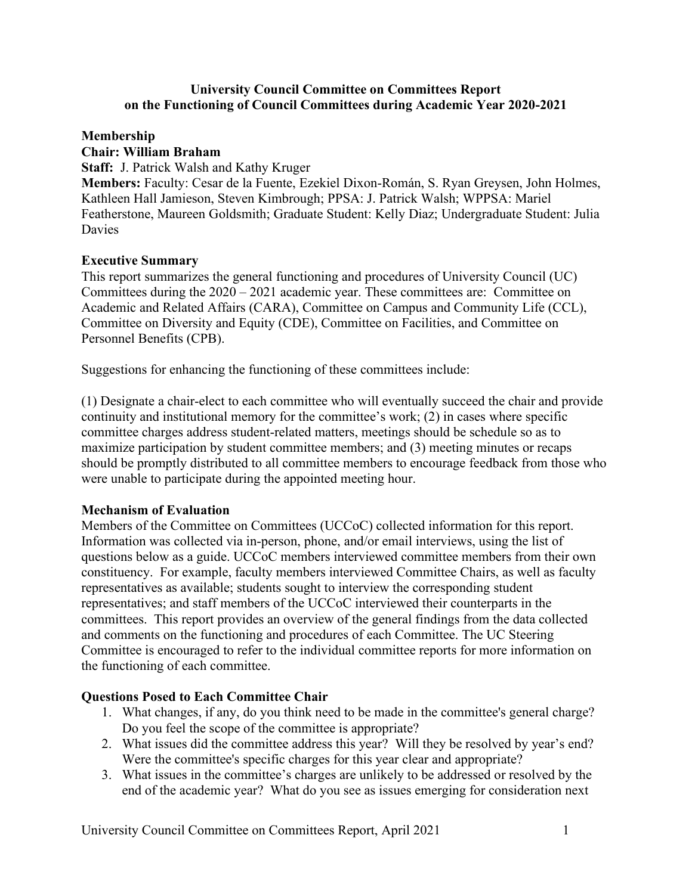### **University Council Committee on Committees Report on the Functioning of Council Committees during Academic Year 2020-2021**

### **Membership Chair: William Braham**

**Staff:** J. Patrick Walsh and Kathy Kruger

**Members:** Faculty: Cesar de la Fuente, Ezekiel Dixon-Román, S. Ryan Greysen, John Holmes, Kathleen Hall Jamieson, Steven Kimbrough; PPSA: J. Patrick Walsh; WPPSA: Mariel Featherstone, Maureen Goldsmith; Graduate Student: Kelly Diaz; Undergraduate Student: Julia Davies

# **Executive Summary**

This report summarizes the general functioning and procedures of University Council (UC) Committees during the 2020 – 2021 academic year. These committees are: Committee on Academic and Related Affairs (CARA), Committee on Campus and Community Life (CCL), Committee on Diversity and Equity (CDE), Committee on Facilities, and Committee on Personnel Benefits (CPB).

Suggestions for enhancing the functioning of these committees include:

(1) Designate a chair-elect to each committee who will eventually succeed the chair and provide continuity and institutional memory for the committee's work; (2) in cases where specific committee charges address student-related matters, meetings should be schedule so as to maximize participation by student committee members; and (3) meeting minutes or recaps should be promptly distributed to all committee members to encourage feedback from those who were unable to participate during the appointed meeting hour.

### **Mechanism of Evaluation**

Members of the Committee on Committees (UCCoC) collected information for this report. Information was collected via in-person, phone, and/or email interviews, using the list of questions below as a guide. UCCoC members interviewed committee members from their own constituency. For example, faculty members interviewed Committee Chairs, as well as faculty representatives as available; students sought to interview the corresponding student representatives; and staff members of the UCCoC interviewed their counterparts in the committees. This report provides an overview of the general findings from the data collected and comments on the functioning and procedures of each Committee. The UC Steering Committee is encouraged to refer to the individual committee reports for more information on the functioning of each committee.

### **Questions Posed to Each Committee Chair**

- 1. What changes, if any, do you think need to be made in the committee's general charge? Do you feel the scope of the committee is appropriate?
- 2. What issues did the committee address this year? Will they be resolved by year's end? Were the committee's specific charges for this year clear and appropriate?
- 3. What issues in the committee's charges are unlikely to be addressed or resolved by the end of the academic year? What do you see as issues emerging for consideration next

University Council Committee on Committees Report, April 2021 1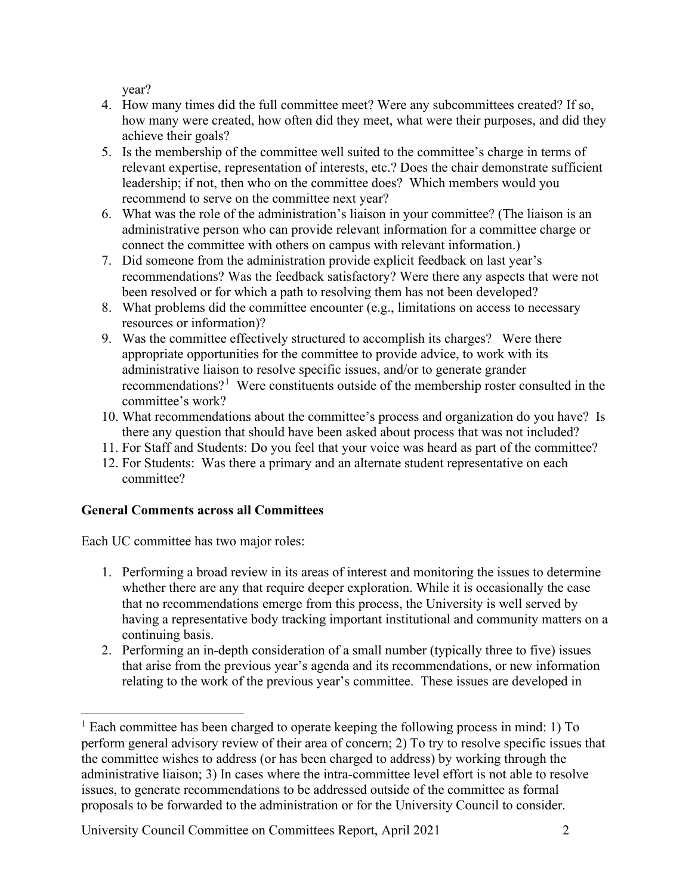year?

- 4. How many times did the full committee meet? Were any subcommittees created? If so, how many were created, how often did they meet, what were their purposes, and did they achieve their goals?
- 5. Is the membership of the committee well suited to the committee's charge in terms of relevant expertise, representation of interests, etc.? Does the chair demonstrate sufficient leadership; if not, then who on the committee does? Which members would you recommend to serve on the committee next year?
- 6. What was the role of the administration's liaison in your committee? (The liaison is an administrative person who can provide relevant information for a committee charge or connect the committee with others on campus with relevant information.)
- 7. Did someone from the administration provide explicit feedback on last year's recommendations? Was the feedback satisfactory? Were there any aspects that were not been resolved or for which a path to resolving them has not been developed?
- 8. What problems did the committee encounter (e.g., limitations on access to necessary resources or information)?
- 9. Was the committee effectively structured to accomplish its charges? Were there appropriate opportunities for the committee to provide advice, to work with its administrative liaison to resolve specific issues, and/or to generate grander recommendations?<sup>[1](#page-1-0)</sup> Were constituents outside of the membership roster consulted in the committee's work?
- 10. What recommendations about the committee's process and organization do you have? Is there any question that should have been asked about process that was not included?
- 11. For Staff and Students: Do you feel that your voice was heard as part of the committee?
- 12. For Students: Was there a primary and an alternate student representative on each committee?

# **General Comments across all Committees**

Each UC committee has two major roles:

- 1. Performing a broad review in its areas of interest and monitoring the issues to determine whether there are any that require deeper exploration. While it is occasionally the case that no recommendations emerge from this process, the University is well served by having a representative body tracking important institutional and community matters on a continuing basis.
- 2. Performing an in-depth consideration of a small number (typically three to five) issues that arise from the previous year's agenda and its recommendations, or new information relating to the work of the previous year's committee. These issues are developed in

<span id="page-1-0"></span> $<sup>1</sup>$  Each committee has been charged to operate keeping the following process in mind: 1) To</sup> perform general advisory review of their area of concern; 2) To try to resolve specific issues that the committee wishes to address (or has been charged to address) by working through the administrative liaison; 3) In cases where the intra-committee level effort is not able to resolve issues, to generate recommendations to be addressed outside of the committee as formal proposals to be forwarded to the administration or for the University Council to consider.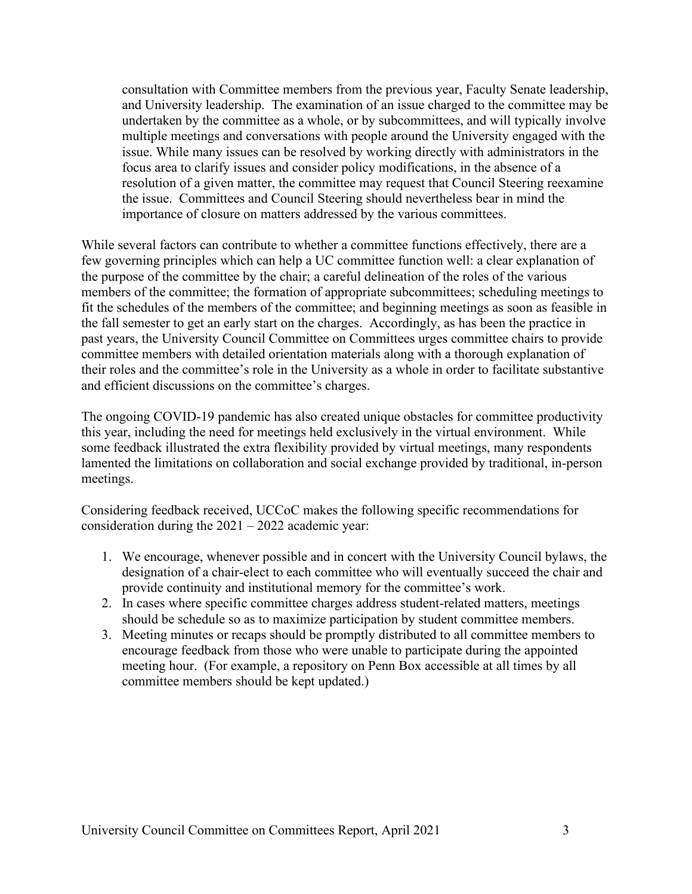consultation with Committee members from the previous year, Faculty Senate leadership, and University leadership. The examination of an issue charged to the committee may be undertaken by the committee as a whole, or by subcommittees, and will typically involve multiple meetings and conversations with people around the University engaged with the issue. While many issues can be resolved by working directly with administrators in the focus area to clarify issues and consider policy modifications, in the absence of a resolution of a given matter, the committee may request that Council Steering reexamine the issue. Committees and Council Steering should nevertheless bear in mind the importance of closure on matters addressed by the various committees.

While several factors can contribute to whether a committee functions effectively, there are a few governing principles which can help a UC committee function well: a clear explanation of the purpose of the committee by the chair; a careful delineation of the roles of the various members of the committee; the formation of appropriate subcommittees; scheduling meetings to fit the schedules of the members of the committee; and beginning meetings as soon as feasible in the fall semester to get an early start on the charges. Accordingly, as has been the practice in past years, the University Council Committee on Committees urges committee chairs to provide committee members with detailed orientation materials along with a thorough explanation of their roles and the committee's role in the University as a whole in order to facilitate substantive and efficient discussions on the committee's charges.

The ongoing COVID-19 pandemic has also created unique obstacles for committee productivity this year, including the need for meetings held exclusively in the virtual environment. While some feedback illustrated the extra flexibility provided by virtual meetings, many respondents lamented the limitations on collaboration and social exchange provided by traditional, in-person meetings.

Considering feedback received, UCCoC makes the following specific recommendations for consideration during the 2021 – 2022 academic year:

- 1. We encourage, whenever possible and in concert with the University Council bylaws, the designation of a chair-elect to each committee who will eventually succeed the chair and provide continuity and institutional memory for the committee's work.
- 2. In cases where specific committee charges address student-related matters, meetings should be schedule so as to maximize participation by student committee members.
- 3. Meeting minutes or recaps should be promptly distributed to all committee members to encourage feedback from those who were unable to participate during the appointed meeting hour. (For example, a repository on Penn Box accessible at all times by all committee members should be kept updated.)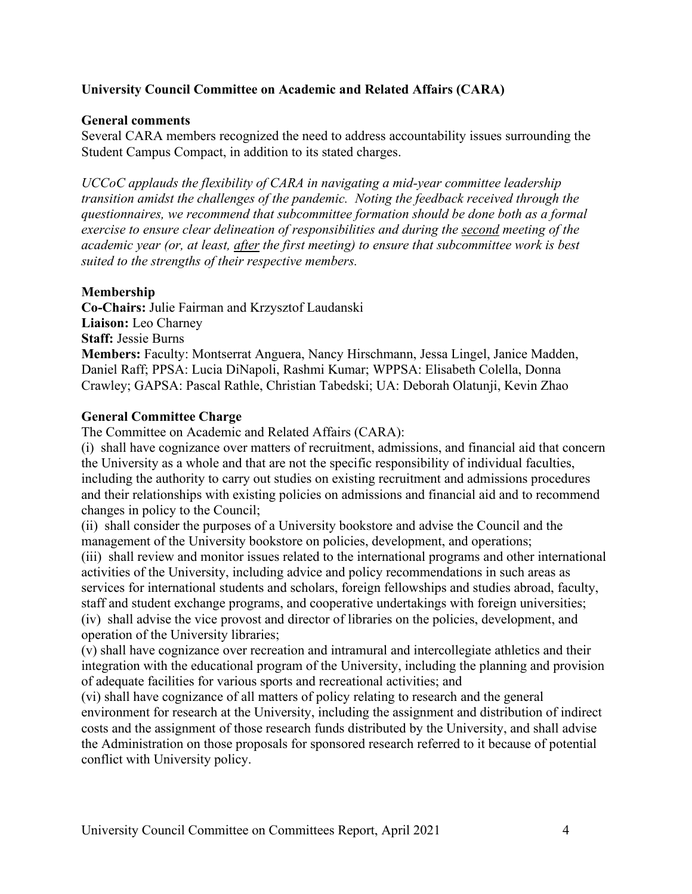# **University Council Committee on Academic and Related Affairs (CARA)**

### **General comments**

Several CARA members recognized the need to address accountability issues surrounding the Student Campus Compact, in addition to its stated charges.

*UCCoC applauds the flexibility of CARA in navigating a mid-year committee leadership transition amidst the challenges of the pandemic. Noting the feedback received through the questionnaires, we recommend that subcommittee formation should be done both as a formal exercise to ensure clear delineation of responsibilities and during the second meeting of the academic year (or, at least, after the first meeting) to ensure that subcommittee work is best suited to the strengths of their respective members.*

# **Membership**

**Co-Chairs:** Julie Fairman and Krzysztof Laudanski **Liaison:** Leo Charney **Staff:** Jessie Burns **Members:** Faculty: Montserrat Anguera, Nancy Hirschmann, Jessa Lingel, Janice Madden, Daniel Raff; PPSA: Lucia DiNapoli, Rashmi Kumar; WPPSA: Elisabeth Colella, Donna Crawley; GAPSA: Pascal Rathle, Christian Tabedski; UA: Deborah Olatunji, Kevin Zhao

### **General Committee Charge**

The Committee on Academic and Related Affairs (CARA):

(i) shall have cognizance over matters of recruitment, admissions, and financial aid that concern the University as a whole and that are not the specific responsibility of individual faculties, including the authority to carry out studies on existing recruitment and admissions procedures and their relationships with existing policies on admissions and financial aid and to recommend changes in policy to the Council;

(ii) shall consider the purposes of a University bookstore and advise the Council and the management of the University bookstore on policies, development, and operations;

(iii) shall review and monitor issues related to the international programs and other international activities of the University, including advice and policy recommendations in such areas as services for international students and scholars, foreign fellowships and studies abroad, faculty, staff and student exchange programs, and cooperative undertakings with foreign universities; (iv) shall advise the vice provost and director of libraries on the policies, development, and operation of the University libraries;

(v) shall have cognizance over recreation and intramural and intercollegiate athletics and their integration with the educational program of the University, including the planning and provision of adequate facilities for various sports and recreational activities; and

(vi) shall have cognizance of all matters of policy relating to research and the general environment for research at the University, including the assignment and distribution of indirect costs and the assignment of those research funds distributed by the University, and shall advise the Administration on those proposals for sponsored research referred to it because of potential conflict with University policy.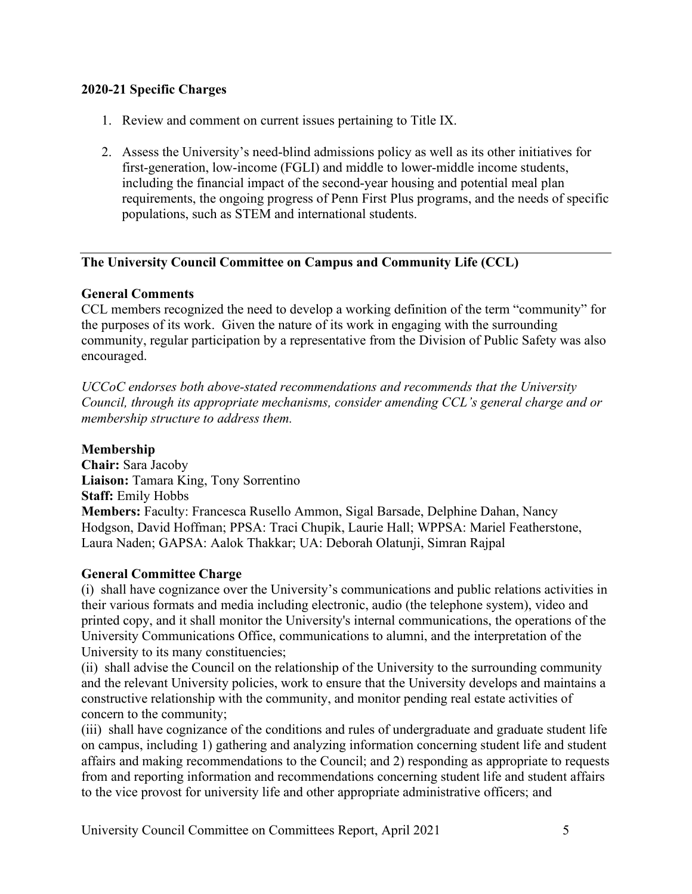### **2020-21 Specific Charges**

- 1. Review and comment on current issues pertaining to Title IX.
- 2. Assess the University's need-blind admissions policy as well as its other initiatives for first-generation, low-income (FGLI) and middle to lower-middle income students, including the financial impact of the second-year housing and potential meal plan requirements, the ongoing progress of Penn First Plus programs, and the needs of specific populations, such as STEM and international students.

# **The University Council Committee on Campus and Community Life (CCL)**

### **General Comments**

CCL members recognized the need to develop a working definition of the term "community" for the purposes of its work. Given the nature of its work in engaging with the surrounding community, regular participation by a representative from the Division of Public Safety was also encouraged.

*UCCoC endorses both above-stated recommendations and recommends that the University Council, through its appropriate mechanisms, consider amending CCL's general charge and or membership structure to address them.*

#### **Membership**

**Chair:** Sara Jacoby **Liaison:** Tamara King, Tony Sorrentino **Staff:** Emily Hobbs **Members:** Faculty: Francesca Rusello Ammon, Sigal Barsade, Delphine Dahan, Nancy Hodgson, David Hoffman; PPSA: Traci Chupik, Laurie Hall; WPPSA: Mariel Featherstone, Laura Naden; GAPSA: Aalok Thakkar; UA: Deborah Olatunji, Simran Rajpal

### **General Committee Charge**

(i) shall have cognizance over the University's communications and public relations activities in their various formats and media including electronic, audio (the telephone system), video and printed copy, and it shall monitor the University's internal communications, the operations of the University Communications Office, communications to alumni, and the interpretation of the University to its many constituencies;

(ii) shall advise the Council on the relationship of the University to the surrounding community and the relevant University policies, work to ensure that the University develops and maintains a constructive relationship with the community, and monitor pending real estate activities of concern to the community;

(iii) shall have cognizance of the conditions and rules of undergraduate and graduate student life on campus, including 1) gathering and analyzing information concerning student life and student affairs and making recommendations to the Council; and 2) responding as appropriate to requests from and reporting information and recommendations concerning student life and student affairs to the vice provost for university life and other appropriate administrative officers; and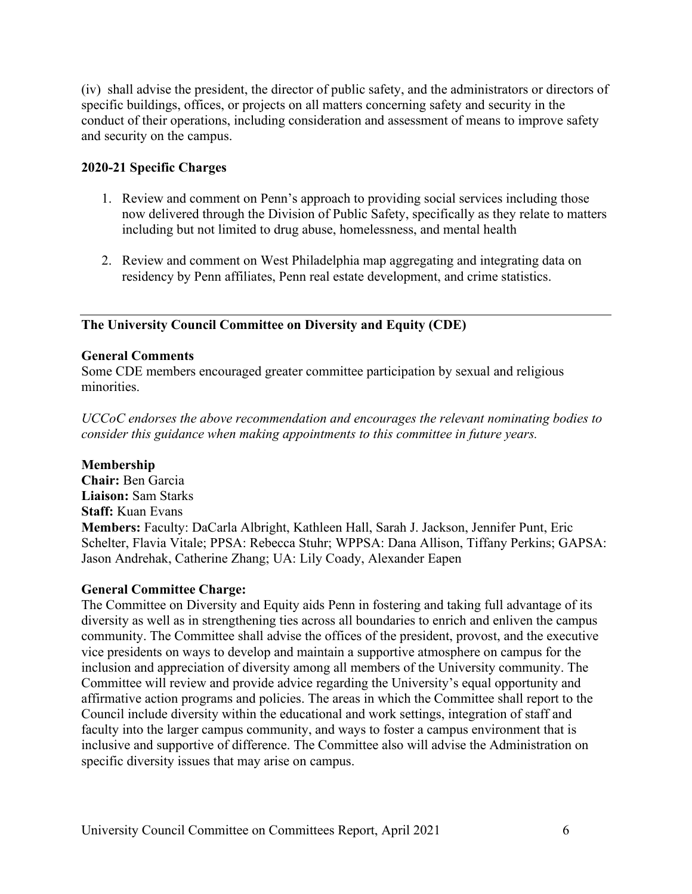(iv) shall advise the president, the director of public safety, and the administrators or directors of specific buildings, offices, or projects on all matters concerning safety and security in the conduct of their operations, including consideration and assessment of means to improve safety and security on the campus.

### **2020-21 Specific Charges**

- 1. Review and comment on Penn's approach to providing social services including those now delivered through the Division of Public Safety, specifically as they relate to matters including but not limited to drug abuse, homelessness, and mental health
- 2. Review and comment on West Philadelphia map aggregating and integrating data on residency by Penn affiliates, Penn real estate development, and crime statistics.

# **The University Council Committee on Diversity and Equity (CDE)**

### **General Comments**

Some CDE members encouraged greater committee participation by sexual and religious minorities.

*UCCoC endorses the above recommendation and encourages the relevant nominating bodies to consider this guidance when making appointments to this committee in future years.*

### **Membership**

**Chair:** Ben Garcia **Liaison:** Sam Starks **Staff:** Kuan Evans **Members:** Faculty: DaCarla Albright, Kathleen Hall, Sarah J. Jackson, Jennifer Punt, Eric Schelter, Flavia Vitale; PPSA: Rebecca Stuhr; WPPSA: Dana Allison, Tiffany Perkins; GAPSA: Jason Andrehak, Catherine Zhang; UA: Lily Coady, Alexander Eapen

### **General Committee Charge:**

The Committee on Diversity and Equity aids Penn in fostering and taking full advantage of its diversity as well as in strengthening ties across all boundaries to enrich and enliven the campus community. The Committee shall advise the offices of the president, provost, and the executive vice presidents on ways to develop and maintain a supportive atmosphere on campus for the inclusion and appreciation of diversity among all members of the University community. The Committee will review and provide advice regarding the University's equal opportunity and affirmative action programs and policies. The areas in which the Committee shall report to the Council include diversity within the educational and work settings, integration of staff and faculty into the larger campus community, and ways to foster a campus environment that is inclusive and supportive of difference. The Committee also will advise the Administration on specific diversity issues that may arise on campus.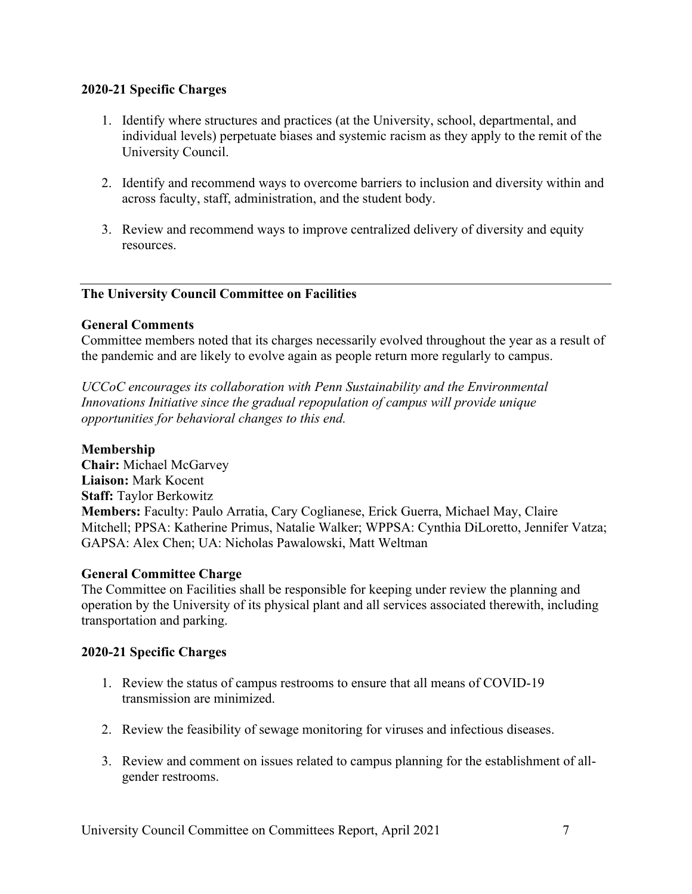### **2020-21 Specific Charges**

- 1. Identify where structures and practices (at the University, school, departmental, and individual levels) perpetuate biases and systemic racism as they apply to the remit of the University Council.
- 2. Identify and recommend ways to overcome barriers to inclusion and diversity within and across faculty, staff, administration, and the student body.
- 3. Review and recommend ways to improve centralized delivery of diversity and equity resources.

### **The University Council Committee on Facilities**

### **General Comments**

Committee members noted that its charges necessarily evolved throughout the year as a result of the pandemic and are likely to evolve again as people return more regularly to campus.

*UCCoC encourages its collaboration with Penn Sustainability and the Environmental Innovations Initiative since the gradual repopulation of campus will provide unique opportunities for behavioral changes to this end.*

### **Membership**

**Chair:** Michael McGarvey **Liaison:** Mark Kocent **Staff:** Taylor Berkowitz **Members:** Faculty: Paulo Arratia, Cary Coglianese, Erick Guerra, Michael May, Claire Mitchell; PPSA: Katherine Primus, Natalie Walker; WPPSA: Cynthia DiLoretto, Jennifer Vatza; GAPSA: Alex Chen; UA: Nicholas Pawalowski, Matt Weltman

### **General Committee Charge**

The Committee on Facilities shall be responsible for keeping under review the planning and operation by the University of its physical plant and all services associated therewith, including transportation and parking.

### **2020-21 Specific Charges**

- 1. Review the status of campus restrooms to ensure that all means of COVID-19 transmission are minimized.
- 2. Review the feasibility of sewage monitoring for viruses and infectious diseases.
- 3. Review and comment on issues related to campus planning for the establishment of allgender restrooms.